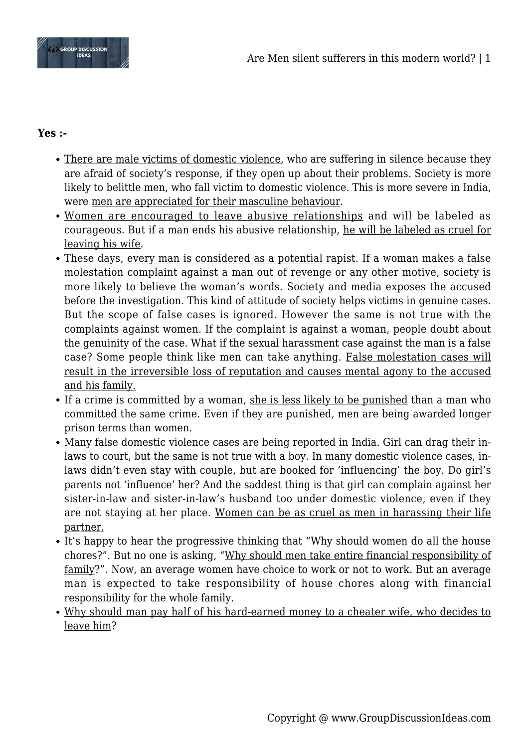

## **Yes :-**

- There are male victims of domestic violence, who are suffering in silence because they are afraid of society's response, if they open up about their problems. Society is more likely to belittle men, who fall victim to domestic violence. This is more severe in India, were men are appreciated for their masculine behaviour.
- Women are encouraged to leave abusive relationships and will be labeled as courageous. But if a man ends his abusive relationship, he will be labeled as cruel for leaving his wife.
- These days, every man is considered as a potential rapist. If a woman makes a false molestation complaint against a man out of revenge or any other motive, society is more likely to believe the woman's words. Society and media exposes the accused before the investigation. This kind of attitude of society helps victims in genuine cases. But the scope of false cases is ignored. However the same is not true with the complaints against women. If the complaint is against a woman, people doubt about the genuinity of the case. What if the sexual harassment case against the man is a false case? Some people think like men can take anything. False molestation cases will result in the irreversible loss of reputation and causes mental agony to the accused and his family.
- If a crime is committed by a woman, she is less likely to be punished than a man who committed the same crime. Even if they are punished, men are being awarded longer prison terms than women.
- Many false domestic violence cases are being reported in India. Girl can drag their inlaws to court, but the same is not true with a boy. In many domestic violence cases, inlaws didn't even stay with couple, but are booked for 'influencing' the boy. Do girl's parents not 'influence' her? And the saddest thing is that girl can complain against her sister-in-law and sister-in-law's husband too under domestic violence, even if they are not staying at her place. Women can be as cruel as men in harassing their life partner.
- It's happy to hear the progressive thinking that "Why should women do all the house chores?". But no one is asking, "Why should men take entire financial responsibility of family?". Now, an average women have choice to work or not to work. But an average man is expected to take responsibility of house chores along with financial responsibility for the whole family.
- Why should man pay half of his hard-earned money to a cheater wife, who decides to leave him?